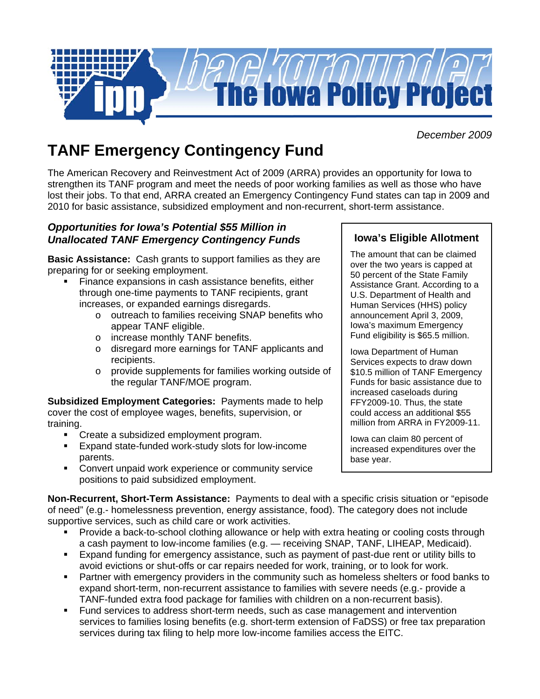

*December 2009*

# **TANF Emergency Contingency Fund**

The American Recovery and Reinvestment Act of 2009 (ARRA) provides an opportunity for Iowa to strengthen its TANF program and meet the needs of poor working families as well as those who have lost their jobs. To that end, ARRA created an Emergency Contingency Fund states can tap in 2009 and 2010 for basic assistance, subsidized employment and non-recurrent, short-term assistance.

### *Opportunities for Iowa's Potential \$55 Million in Unallocated TANF Emergency Contingency Funds*

**Basic Assistance:** Cash grants to support families as they are preparing for or seeking employment.

- Finance expansions in cash assistance benefits, either through one-time payments to TANF recipients, grant increases, or expanded earnings disregards.
	- o outreach to families receiving SNAP benefits who appear TANF eligible.
	- o increase monthly TANF benefits.
	- o disregard more earnings for TANF applicants and recipients.
	- o provide supplements for families working outside of the regular TANF/MOE program.

**Subsidized Employment Categories:** Payments made to help cover the cost of employee wages, benefits, supervision, or training.

- Create a subsidized employment program.
- Expand state-funded work-study slots for low-income parents.
- **EXECONCERT CONVERT UNDER** CONVERT LOCALGONG **CONCERT** CONVERTED **CONCERT** positions to paid subsidized employment.

## **Iowa's Eligible Allotment**

The amount that can be claimed over the two years is capped at 50 percent of the State Family Assistance Grant. According to a U.S. Department of Health and Human Services (HHS) policy announcement April 3, 2009, Iowa's maximum Emergency Fund eligibility is \$65.5 million.

Iowa Department of Human Services expects to draw down \$10.5 million of TANF Emergency Funds for basic assistance due to increased caseloads during FFY2009-10. Thus, the state could access an additional \$55 million from ARRA in FY2009-11.

Iowa can claim 80 percent of increased expenditures over the base year.

**Non-Recurrent, Short-Term Assistance:** Payments to deal with a specific crisis situation or "episode of need" (e.g.- homelessness prevention, energy assistance, food). The category does not include supportive services, such as child care or work activities.

- Provide a back-to-school clothing allowance or help with extra heating or cooling costs through a cash payment to low-income families (e.g. — receiving SNAP, TANF, LIHEAP, Medicaid).
- Expand funding for emergency assistance, such as payment of past-due rent or utility bills to avoid evictions or shut-offs or car repairs needed for work, training, or to look for work.
- Partner with emergency providers in the community such as homeless shelters or food banks to expand short-term, non-recurrent assistance to families with severe needs (e.g.- provide a TANF-funded extra food package for families with children on a non-recurrent basis).
- Fund services to address short-term needs, such as case management and intervention services to families losing benefits (e.g. short-term extension of FaDSS) or free tax preparation services during tax filing to help more low-income families access the EITC.